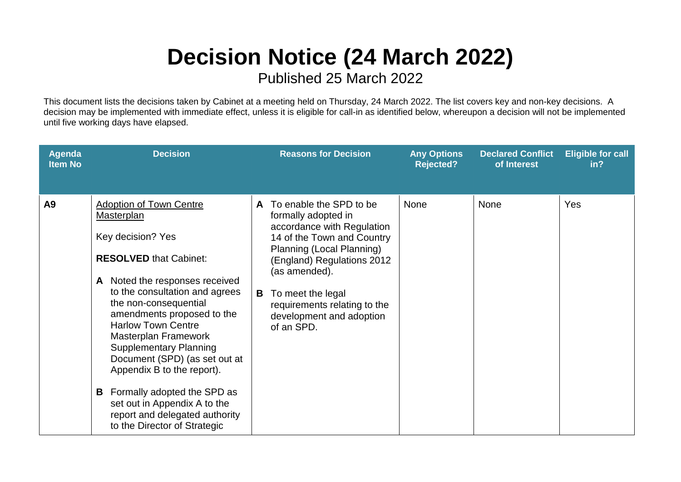## **Decision Notice (24 March 2022)**

Published 25 March 2022

This document lists the decisions taken by Cabinet at a meeting held on Thursday, 24 March 2022. The list covers key and non-key decisions. A decision may be implemented with immediate effect, unless it is eligible for call-in as identified below, whereupon a decision will not be implemented until five working days have elapsed.

| <b>Agenda</b><br><b>Item No</b> | <b>Decision</b>                                                                                                                                                                                                                                                                                                                                                                                                                                                                                                          | <b>Reasons for Decision</b>                                                                                                                                                                                                                                                                     | <b>Any Options</b><br><b>Rejected?</b> | <b>Declared Conflict</b><br>of Interest | <b>Eligible for call</b><br>in? |
|---------------------------------|--------------------------------------------------------------------------------------------------------------------------------------------------------------------------------------------------------------------------------------------------------------------------------------------------------------------------------------------------------------------------------------------------------------------------------------------------------------------------------------------------------------------------|-------------------------------------------------------------------------------------------------------------------------------------------------------------------------------------------------------------------------------------------------------------------------------------------------|----------------------------------------|-----------------------------------------|---------------------------------|
| A <sub>9</sub>                  | <b>Adoption of Town Centre</b><br>Masterplan<br>Key decision? Yes<br><b>RESOLVED that Cabinet:</b><br>A Noted the responses received<br>to the consultation and agrees<br>the non-consequential<br>amendments proposed to the<br><b>Harlow Town Centre</b><br>Masterplan Framework<br><b>Supplementary Planning</b><br>Document (SPD) (as set out at<br>Appendix B to the report).<br>Formally adopted the SPD as<br>B<br>set out in Appendix A to the<br>report and delegated authority<br>to the Director of Strategic | To enable the SPD to be<br>A<br>formally adopted in<br>accordance with Regulation<br>14 of the Town and Country<br>Planning (Local Planning)<br>(England) Regulations 2012<br>(as amended).<br>B<br>To meet the legal<br>requirements relating to the<br>development and adoption<br>of an SPD. | <b>None</b>                            | <b>None</b>                             | Yes                             |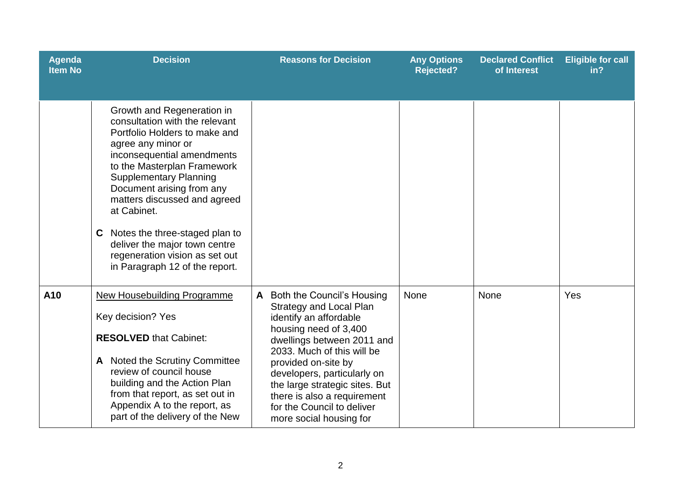| Agenda<br><b>Item No</b> | <b>Decision</b>                                                                                                                                                                                                                                                                                                                                                                                                                           | <b>Reasons for Decision</b>                                                                                                                                                                                                                                                                                                                                 | <b>Any Options</b><br><b>Rejected?</b> | <b>Declared Conflict</b><br>of Interest | <b>Eligible for call</b><br>in? |
|--------------------------|-------------------------------------------------------------------------------------------------------------------------------------------------------------------------------------------------------------------------------------------------------------------------------------------------------------------------------------------------------------------------------------------------------------------------------------------|-------------------------------------------------------------------------------------------------------------------------------------------------------------------------------------------------------------------------------------------------------------------------------------------------------------------------------------------------------------|----------------------------------------|-----------------------------------------|---------------------------------|
|                          | Growth and Regeneration in<br>consultation with the relevant<br>Portfolio Holders to make and<br>agree any minor or<br>inconsequential amendments<br>to the Masterplan Framework<br><b>Supplementary Planning</b><br>Document arising from any<br>matters discussed and agreed<br>at Cabinet.<br>Notes the three-staged plan to<br>C<br>deliver the major town centre<br>regeneration vision as set out<br>in Paragraph 12 of the report. |                                                                                                                                                                                                                                                                                                                                                             |                                        |                                         |                                 |
| A10                      | <b>New Housebuilding Programme</b><br>Key decision? Yes<br><b>RESOLVED that Cabinet:</b><br>A Noted the Scrutiny Committee<br>review of council house<br>building and the Action Plan<br>from that report, as set out in<br>Appendix A to the report, as<br>part of the delivery of the New                                                                                                                                               | Both the Council's Housing<br><b>Strategy and Local Plan</b><br>identify an affordable<br>housing need of 3,400<br>dwellings between 2011 and<br>2033. Much of this will be<br>provided on-site by<br>developers, particularly on<br>the large strategic sites. But<br>there is also a requirement<br>for the Council to deliver<br>more social housing for | None                                   | None                                    | Yes                             |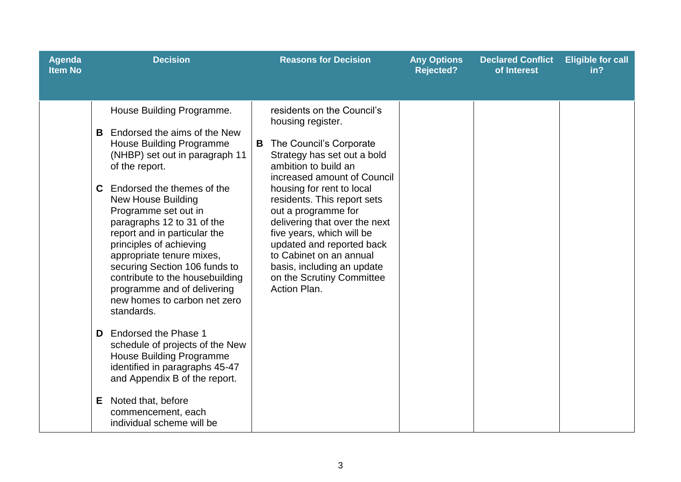| <b>Agenda</b><br><b>Item No</b> | <b>Decision</b>                                                                                                                                                                                                                                                                                                                                                                                                                                                         | <b>Reasons for Decision</b>                                                                                                                                                                                                                                                                                                                                                                                                                               | <b>Any Options</b><br><b>Rejected?</b> | <b>Declared Conflict</b><br>of Interest | <b>Eligible for call</b><br>in? |
|---------------------------------|-------------------------------------------------------------------------------------------------------------------------------------------------------------------------------------------------------------------------------------------------------------------------------------------------------------------------------------------------------------------------------------------------------------------------------------------------------------------------|-----------------------------------------------------------------------------------------------------------------------------------------------------------------------------------------------------------------------------------------------------------------------------------------------------------------------------------------------------------------------------------------------------------------------------------------------------------|----------------------------------------|-----------------------------------------|---------------------------------|
|                                 | House Building Programme.<br>Endorsed the aims of the New<br>B.<br><b>House Building Programme</b><br>(NHBP) set out in paragraph 11<br>of the report.<br>Endorsed the themes of the<br>C<br><b>New House Building</b><br>Programme set out in<br>paragraphs 12 to 31 of the<br>report and in particular the<br>principles of achieving<br>appropriate tenure mixes,<br>securing Section 106 funds to<br>contribute to the housebuilding<br>programme and of delivering | residents on the Council's<br>housing register.<br>The Council's Corporate<br>B<br>Strategy has set out a bold<br>ambition to build an<br>increased amount of Council<br>housing for rent to local<br>residents. This report sets<br>out a programme for<br>delivering that over the next<br>five years, which will be<br>updated and reported back<br>to Cabinet on an annual<br>basis, including an update<br>on the Scrutiny Committee<br>Action Plan. |                                        |                                         |                                 |
|                                 | new homes to carbon net zero<br>standards.<br>Endorsed the Phase 1<br>D.<br>schedule of projects of the New<br>House Building Programme<br>identified in paragraphs 45-47<br>and Appendix B of the report.<br>Noted that, before<br>E.<br>commencement, each<br>individual scheme will be                                                                                                                                                                               |                                                                                                                                                                                                                                                                                                                                                                                                                                                           |                                        |                                         |                                 |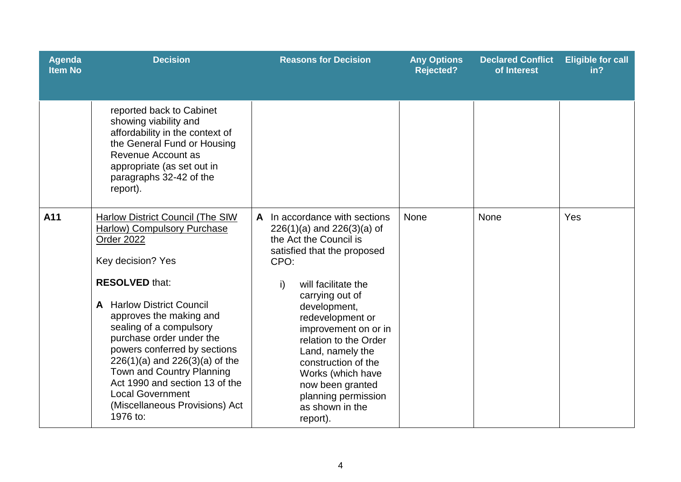| <b>Agenda</b><br><b>Item No</b> | <b>Decision</b>                                                                                                                                                                                                                                                                                                                                                                                                                                                               | <b>Reasons for Decision</b>                                                                                                                                                                                                                                                                                                                                                                                     | <b>Any Options</b><br><b>Rejected?</b> | <b>Declared Conflict</b><br>of Interest | <b>Eligible for call</b><br>in? |
|---------------------------------|-------------------------------------------------------------------------------------------------------------------------------------------------------------------------------------------------------------------------------------------------------------------------------------------------------------------------------------------------------------------------------------------------------------------------------------------------------------------------------|-----------------------------------------------------------------------------------------------------------------------------------------------------------------------------------------------------------------------------------------------------------------------------------------------------------------------------------------------------------------------------------------------------------------|----------------------------------------|-----------------------------------------|---------------------------------|
|                                 | reported back to Cabinet<br>showing viability and<br>affordability in the context of<br>the General Fund or Housing<br>Revenue Account as<br>appropriate (as set out in<br>paragraphs 32-42 of the<br>report).                                                                                                                                                                                                                                                                |                                                                                                                                                                                                                                                                                                                                                                                                                 |                                        |                                         |                                 |
| A11                             | <b>Harlow District Council (The SIW</b><br><b>Harlow) Compulsory Purchase</b><br>Order 2022<br>Key decision? Yes<br><b>RESOLVED that:</b><br><b>A</b> Harlow District Council<br>approves the making and<br>sealing of a compulsory<br>purchase order under the<br>powers conferred by sections<br>$226(1)(a)$ and $226(3)(a)$ of the<br>Town and Country Planning<br>Act 1990 and section 13 of the<br><b>Local Government</b><br>(Miscellaneous Provisions) Act<br>1976 to: | A In accordance with sections<br>$226(1)(a)$ and $226(3)(a)$ of<br>the Act the Council is<br>satisfied that the proposed<br>CPO:<br>will facilitate the<br>i)<br>carrying out of<br>development,<br>redevelopment or<br>improvement on or in<br>relation to the Order<br>Land, namely the<br>construction of the<br>Works (which have<br>now been granted<br>planning permission<br>as shown in the<br>report). | None                                   | <b>None</b>                             | Yes                             |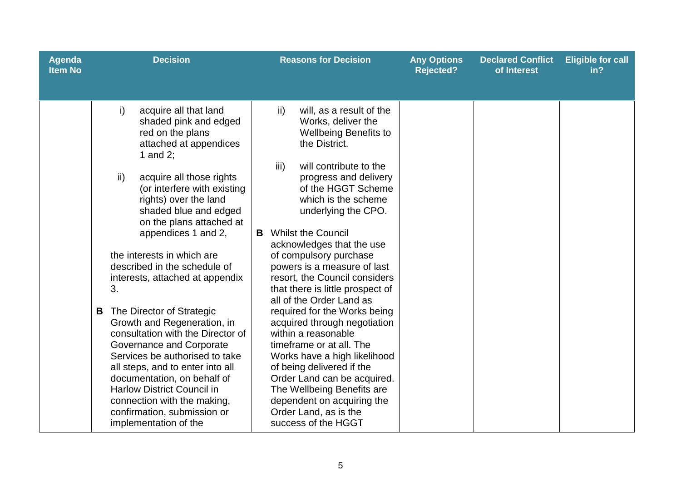| <b>Agenda</b><br><b>Item No</b> | <b>Decision</b>                                                                                                                                                                                                                                                                                                                                                                                                                                                                                                                                                                                                                                                                                                                                                 | <b>Reasons for Decision</b>                                                                                                                                                                                                                                                                                                                                                                                                                                                                                                                                                                                                                                                                                                                                                                         | <b>Any Options</b><br><b>Rejected?</b> | <b>Declared Conflict</b><br>of Interest | <b>Eligible for call</b><br>in? |
|---------------------------------|-----------------------------------------------------------------------------------------------------------------------------------------------------------------------------------------------------------------------------------------------------------------------------------------------------------------------------------------------------------------------------------------------------------------------------------------------------------------------------------------------------------------------------------------------------------------------------------------------------------------------------------------------------------------------------------------------------------------------------------------------------------------|-----------------------------------------------------------------------------------------------------------------------------------------------------------------------------------------------------------------------------------------------------------------------------------------------------------------------------------------------------------------------------------------------------------------------------------------------------------------------------------------------------------------------------------------------------------------------------------------------------------------------------------------------------------------------------------------------------------------------------------------------------------------------------------------------------|----------------------------------------|-----------------------------------------|---------------------------------|
|                                 | i)<br>acquire all that land<br>shaded pink and edged<br>red on the plans<br>attached at appendices<br>1 and 2;<br>ii)<br>acquire all those rights<br>(or interfere with existing<br>rights) over the land<br>shaded blue and edged<br>on the plans attached at<br>appendices 1 and 2,<br>the interests in which are<br>described in the schedule of<br>interests, attached at appendix<br>3.<br>The Director of Strategic<br>B<br>Growth and Regeneration, in<br>consultation with the Director of<br>Governance and Corporate<br>Services be authorised to take<br>all steps, and to enter into all<br>documentation, on behalf of<br><b>Harlow District Council in</b><br>connection with the making,<br>confirmation, submission or<br>implementation of the | will, as a result of the<br>$\mathsf{ii}$<br>Works, deliver the<br><b>Wellbeing Benefits to</b><br>the District.<br>iii)<br>will contribute to the<br>progress and delivery<br>of the HGGT Scheme<br>which is the scheme<br>underlying the CPO.<br><b>Whilst the Council</b><br>B<br>acknowledges that the use<br>of compulsory purchase<br>powers is a measure of last<br>resort, the Council considers<br>that there is little prospect of<br>all of the Order Land as<br>required for the Works being<br>acquired through negotiation<br>within a reasonable<br>timeframe or at all. The<br>Works have a high likelihood<br>of being delivered if the<br>Order Land can be acquired.<br>The Wellbeing Benefits are<br>dependent on acquiring the<br>Order Land, as is the<br>success of the HGGT |                                        |                                         |                                 |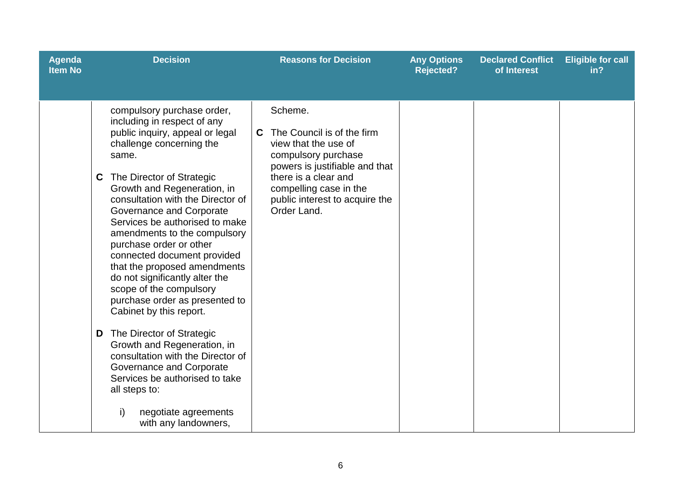| <b>Agenda</b><br><b>Item No</b> | <b>Decision</b>                                                                                                                                                                                                                                                                                                                                                                                                                                                                                                                                                                                                                                                                                                                                                                                      | <b>Reasons for Decision</b>                                                                                                                                                                                                    | <b>Any Options</b><br><b>Rejected?</b> | <b>Declared Conflict</b><br>of Interest | <b>Eligible for call</b><br>in? |
|---------------------------------|------------------------------------------------------------------------------------------------------------------------------------------------------------------------------------------------------------------------------------------------------------------------------------------------------------------------------------------------------------------------------------------------------------------------------------------------------------------------------------------------------------------------------------------------------------------------------------------------------------------------------------------------------------------------------------------------------------------------------------------------------------------------------------------------------|--------------------------------------------------------------------------------------------------------------------------------------------------------------------------------------------------------------------------------|----------------------------------------|-----------------------------------------|---------------------------------|
|                                 | compulsory purchase order,<br>including in respect of any<br>public inquiry, appeal or legal<br>challenge concerning the<br>same.<br>The Director of Strategic<br>C<br>Growth and Regeneration, in<br>consultation with the Director of<br>Governance and Corporate<br>Services be authorised to make<br>amendments to the compulsory<br>purchase order or other<br>connected document provided<br>that the proposed amendments<br>do not significantly alter the<br>scope of the compulsory<br>purchase order as presented to<br>Cabinet by this report.<br>The Director of Strategic<br>D<br>Growth and Regeneration, in<br>consultation with the Director of<br>Governance and Corporate<br>Services be authorised to take<br>all steps to:<br>i)<br>negotiate agreements<br>with any landowners, | Scheme.<br>The Council is of the firm<br>C<br>view that the use of<br>compulsory purchase<br>powers is justifiable and that<br>there is a clear and<br>compelling case in the<br>public interest to acquire the<br>Order Land. |                                        |                                         |                                 |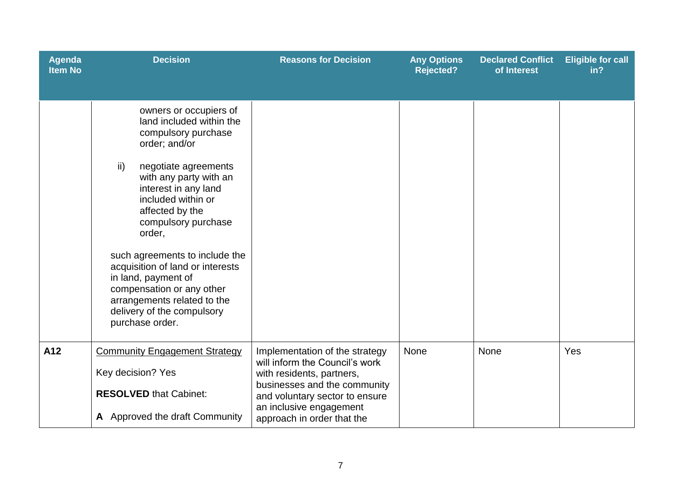| <b>Agenda</b><br><b>Item No</b> | <b>Decision</b>                                                                                                                                                                                                                                                                                                                                                                                                                                                           | <b>Reasons for Decision</b>                                                                                                                                                                                              | <b>Any Options</b><br><b>Rejected?</b> | <b>Declared Conflict</b><br>of Interest | <b>Eligible for call</b><br>in? |
|---------------------------------|---------------------------------------------------------------------------------------------------------------------------------------------------------------------------------------------------------------------------------------------------------------------------------------------------------------------------------------------------------------------------------------------------------------------------------------------------------------------------|--------------------------------------------------------------------------------------------------------------------------------------------------------------------------------------------------------------------------|----------------------------------------|-----------------------------------------|---------------------------------|
|                                 | owners or occupiers of<br>land included within the<br>compulsory purchase<br>order; and/or<br>$\mathsf{ii}$<br>negotiate agreements<br>with any party with an<br>interest in any land<br>included within or<br>affected by the<br>compulsory purchase<br>order,<br>such agreements to include the<br>acquisition of land or interests<br>in land, payment of<br>compensation or any other<br>arrangements related to the<br>delivery of the compulsory<br>purchase order. |                                                                                                                                                                                                                          |                                        |                                         |                                 |
| A12                             | <b>Community Engagement Strategy</b><br>Key decision? Yes<br><b>RESOLVED that Cabinet:</b><br>A Approved the draft Community                                                                                                                                                                                                                                                                                                                                              | Implementation of the strategy<br>will inform the Council's work<br>with residents, partners,<br>businesses and the community<br>and voluntary sector to ensure<br>an inclusive engagement<br>approach in order that the | None                                   | None                                    | Yes                             |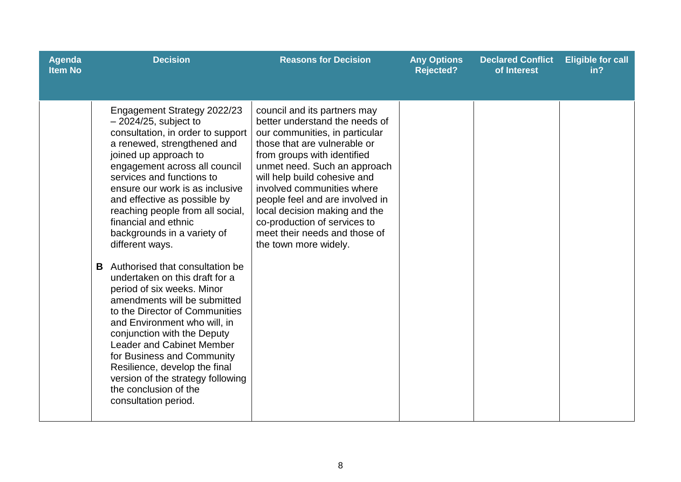| <b>Agenda</b><br><b>Item No</b> | <b>Decision</b>                                                                                                                                                                                                                                                                                                                                                                                                                                                                                                                                                                                                                                                                                                                                                                                                                      | <b>Reasons for Decision</b>                                                                                                                                                                                                                                                                                                                                                                                                 | <b>Any Options</b><br><b>Rejected?</b> | <b>Declared Conflict</b><br>of Interest | <b>Eligible for call</b><br>in? |
|---------------------------------|--------------------------------------------------------------------------------------------------------------------------------------------------------------------------------------------------------------------------------------------------------------------------------------------------------------------------------------------------------------------------------------------------------------------------------------------------------------------------------------------------------------------------------------------------------------------------------------------------------------------------------------------------------------------------------------------------------------------------------------------------------------------------------------------------------------------------------------|-----------------------------------------------------------------------------------------------------------------------------------------------------------------------------------------------------------------------------------------------------------------------------------------------------------------------------------------------------------------------------------------------------------------------------|----------------------------------------|-----------------------------------------|---------------------------------|
|                                 | Engagement Strategy 2022/23<br>$-2024/25$ , subject to<br>consultation, in order to support<br>a renewed, strengthened and<br>joined up approach to<br>engagement across all council<br>services and functions to<br>ensure our work is as inclusive<br>and effective as possible by<br>reaching people from all social,<br>financial and ethnic<br>backgrounds in a variety of<br>different ways.<br>Authorised that consultation be<br>B<br>undertaken on this draft for a<br>period of six weeks. Minor<br>amendments will be submitted<br>to the Director of Communities<br>and Environment who will, in<br>conjunction with the Deputy<br><b>Leader and Cabinet Member</b><br>for Business and Community<br>Resilience, develop the final<br>version of the strategy following<br>the conclusion of the<br>consultation period. | council and its partners may<br>better understand the needs of<br>our communities, in particular<br>those that are vulnerable or<br>from groups with identified<br>unmet need. Such an approach<br>will help build cohesive and<br>involved communities where<br>people feel and are involved in<br>local decision making and the<br>co-production of services to<br>meet their needs and those of<br>the town more widely. |                                        |                                         |                                 |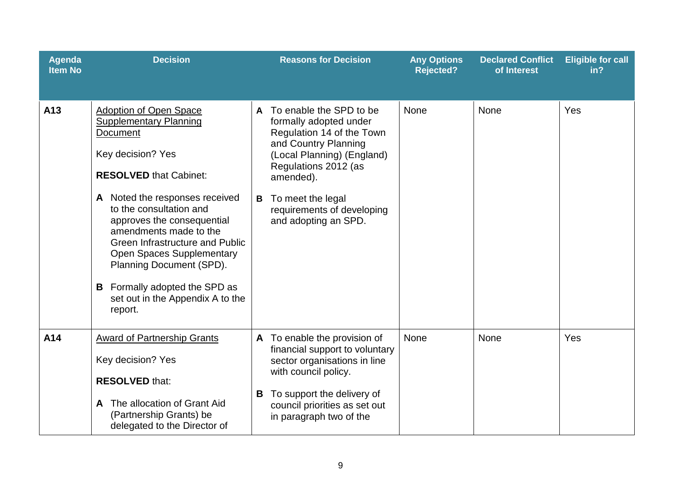| <b>Agenda</b><br><b>Item No</b> | <b>Decision</b>                                                                                                                                                                                                                                                                                                                                                                                                                                        |                   | <b>Reasons for Decision</b>                                                                                                                                                                                                                          | <b>Any Options</b><br><b>Rejected?</b> | <b>Declared Conflict</b><br>of Interest | <b>Eligible for call</b><br>in? |
|---------------------------------|--------------------------------------------------------------------------------------------------------------------------------------------------------------------------------------------------------------------------------------------------------------------------------------------------------------------------------------------------------------------------------------------------------------------------------------------------------|-------------------|------------------------------------------------------------------------------------------------------------------------------------------------------------------------------------------------------------------------------------------------------|----------------------------------------|-----------------------------------------|---------------------------------|
| A13                             | <b>Adoption of Open Space</b><br><b>Supplementary Planning</b><br>Document<br>Key decision? Yes<br><b>RESOLVED that Cabinet:</b><br>A Noted the responses received<br>to the consultation and<br>approves the consequential<br>amendments made to the<br><b>Green Infrastructure and Public</b><br><b>Open Spaces Supplementary</b><br>Planning Document (SPD).<br><b>B</b> Formally adopted the SPD as<br>set out in the Appendix A to the<br>report. | $\mathbf{A}$<br>B | To enable the SPD to be<br>formally adopted under<br>Regulation 14 of the Town<br>and Country Planning<br>(Local Planning) (England)<br>Regulations 2012 (as<br>amended).<br>To meet the legal<br>requirements of developing<br>and adopting an SPD. | <b>None</b>                            | None                                    | Yes                             |
| A14                             | <b>Award of Partnership Grants</b><br>Key decision? Yes<br><b>RESOLVED that:</b><br>The allocation of Grant Aid<br>A<br>(Partnership Grants) be<br>delegated to the Director of                                                                                                                                                                                                                                                                        | В                 | A To enable the provision of<br>financial support to voluntary<br>sector organisations in line<br>with council policy.<br>To support the delivery of<br>council priorities as set out<br>in paragraph two of the                                     | <b>None</b>                            | <b>None</b>                             | Yes                             |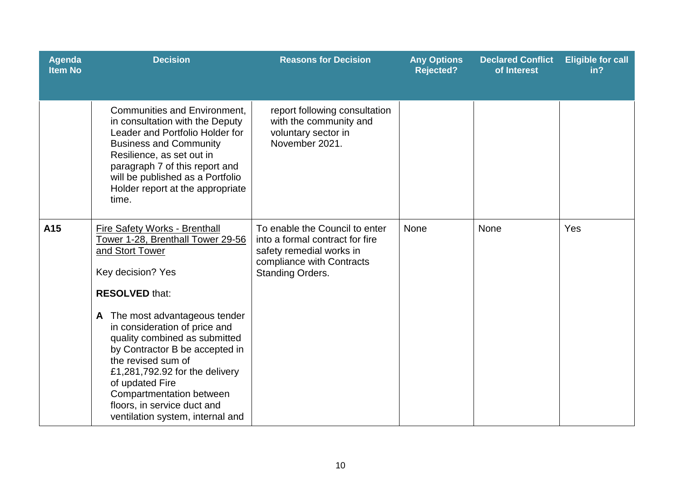| <b>Agenda</b><br><b>Item No</b> | <b>Decision</b>                                                                                                                                                                                                                                                                                                                                                                                                                                        | <b>Reasons for Decision</b>                                                                                                                           | <b>Any Options</b><br><b>Rejected?</b> | <b>Declared Conflict</b><br>of Interest | <b>Eligible for call</b><br>in? |
|---------------------------------|--------------------------------------------------------------------------------------------------------------------------------------------------------------------------------------------------------------------------------------------------------------------------------------------------------------------------------------------------------------------------------------------------------------------------------------------------------|-------------------------------------------------------------------------------------------------------------------------------------------------------|----------------------------------------|-----------------------------------------|---------------------------------|
|                                 | <b>Communities and Environment,</b><br>in consultation with the Deputy<br>Leader and Portfolio Holder for<br><b>Business and Community</b><br>Resilience, as set out in<br>paragraph 7 of this report and<br>will be published as a Portfolio<br>Holder report at the appropriate<br>time.                                                                                                                                                             | report following consultation<br>with the community and<br>voluntary sector in<br>November 2021.                                                      |                                        |                                         |                                 |
| A15                             | Fire Safety Works - Brenthall<br>Tower 1-28, Brenthall Tower 29-56<br>and Stort Tower<br>Key decision? Yes<br><b>RESOLVED that:</b><br>The most advantageous tender<br>A<br>in consideration of price and<br>quality combined as submitted<br>by Contractor B be accepted in<br>the revised sum of<br>£1,281,792.92 for the delivery<br>of updated Fire<br>Compartmentation between<br>floors, in service duct and<br>ventilation system, internal and | To enable the Council to enter<br>into a formal contract for fire<br>safety remedial works in<br>compliance with Contracts<br><b>Standing Orders.</b> | None                                   | None                                    | Yes                             |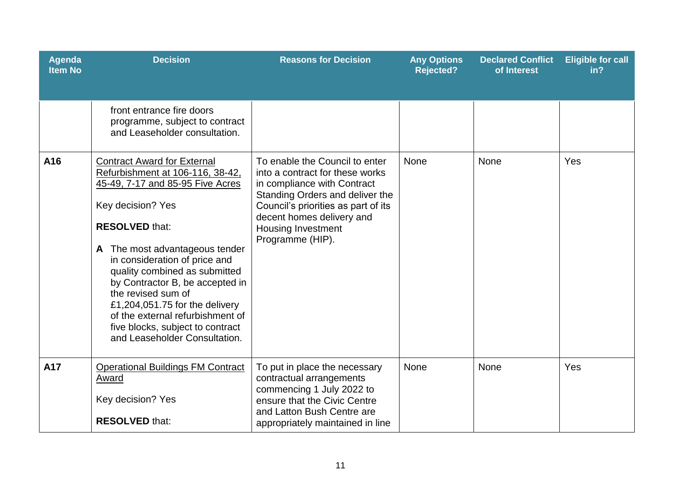| <b>Agenda</b><br><b>Item No</b> | <b>Decision</b>                                                                                                                                                                                                                                                                                                                                                                                                                                                     | <b>Reasons for Decision</b>                                                                                                                                                                                                                              | <b>Any Options</b><br><b>Rejected?</b> | <b>Declared Conflict</b><br>of Interest | <b>Eligible for call</b><br>in? |
|---------------------------------|---------------------------------------------------------------------------------------------------------------------------------------------------------------------------------------------------------------------------------------------------------------------------------------------------------------------------------------------------------------------------------------------------------------------------------------------------------------------|----------------------------------------------------------------------------------------------------------------------------------------------------------------------------------------------------------------------------------------------------------|----------------------------------------|-----------------------------------------|---------------------------------|
|                                 | front entrance fire doors<br>programme, subject to contract<br>and Leaseholder consultation.                                                                                                                                                                                                                                                                                                                                                                        |                                                                                                                                                                                                                                                          |                                        |                                         |                                 |
| A16                             | <b>Contract Award for External</b><br>Refurbishment at 106-116, 38-42,<br>45-49, 7-17 and 85-95 Five Acres<br>Key decision? Yes<br><b>RESOLVED that:</b><br>The most advantageous tender<br>A<br>in consideration of price and<br>quality combined as submitted<br>by Contractor B, be accepted in<br>the revised sum of<br>£1,204,051.75 for the delivery<br>of the external refurbishment of<br>five blocks, subject to contract<br>and Leaseholder Consultation. | To enable the Council to enter<br>into a contract for these works<br>in compliance with Contract<br>Standing Orders and deliver the<br>Council's priorities as part of its<br>decent homes delivery and<br><b>Housing Investment</b><br>Programme (HIP). | None                                   | <b>None</b>                             | Yes                             |
| A17                             | <b>Operational Buildings FM Contract</b><br>Award<br>Key decision? Yes<br><b>RESOLVED that:</b>                                                                                                                                                                                                                                                                                                                                                                     | To put in place the necessary<br>contractual arrangements<br>commencing 1 July 2022 to<br>ensure that the Civic Centre<br>and Latton Bush Centre are<br>appropriately maintained in line                                                                 | None                                   | None                                    | Yes                             |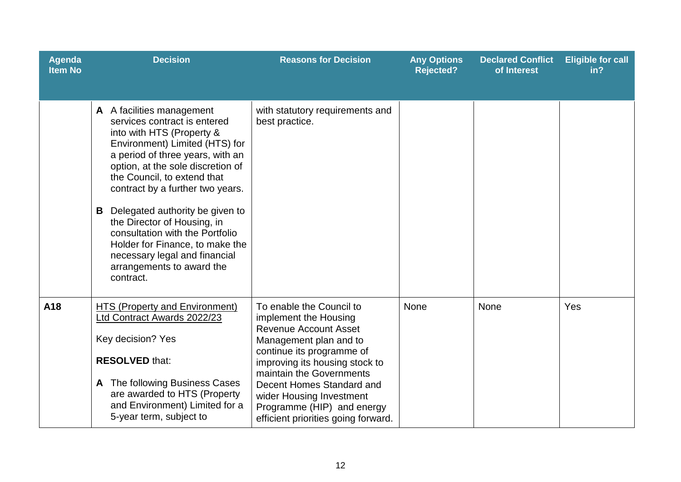| <b>Agenda</b><br><b>Item No</b> | <b>Decision</b>                                                                                                                                                                                                                                                                                                                                                                                                                                                                              | <b>Reasons for Decision</b>                                                                                                                                                                                                                                                                                                          | <b>Any Options</b><br><b>Rejected?</b> | <b>Declared Conflict</b><br>of Interest | <b>Eligible for call</b><br>in? |
|---------------------------------|----------------------------------------------------------------------------------------------------------------------------------------------------------------------------------------------------------------------------------------------------------------------------------------------------------------------------------------------------------------------------------------------------------------------------------------------------------------------------------------------|--------------------------------------------------------------------------------------------------------------------------------------------------------------------------------------------------------------------------------------------------------------------------------------------------------------------------------------|----------------------------------------|-----------------------------------------|---------------------------------|
|                                 | A A facilities management<br>services contract is entered<br>into with HTS (Property &<br>Environment) Limited (HTS) for<br>a period of three years, with an<br>option, at the sole discretion of<br>the Council, to extend that<br>contract by a further two years.<br>Delegated authority be given to<br>B<br>the Director of Housing, in<br>consultation with the Portfolio<br>Holder for Finance, to make the<br>necessary legal and financial<br>arrangements to award the<br>contract. | with statutory requirements and<br>best practice.                                                                                                                                                                                                                                                                                    |                                        |                                         |                                 |
| A18                             | <b>HTS (Property and Environment)</b><br>Ltd Contract Awards 2022/23<br>Key decision? Yes<br><b>RESOLVED that:</b><br>A The following Business Cases<br>are awarded to HTS (Property<br>and Environment) Limited for a<br>5-year term, subject to                                                                                                                                                                                                                                            | To enable the Council to<br>implement the Housing<br><b>Revenue Account Asset</b><br>Management plan and to<br>continue its programme of<br>improving its housing stock to<br>maintain the Governments<br>Decent Homes Standard and<br>wider Housing Investment<br>Programme (HIP) and energy<br>efficient priorities going forward. | None                                   | None                                    | Yes                             |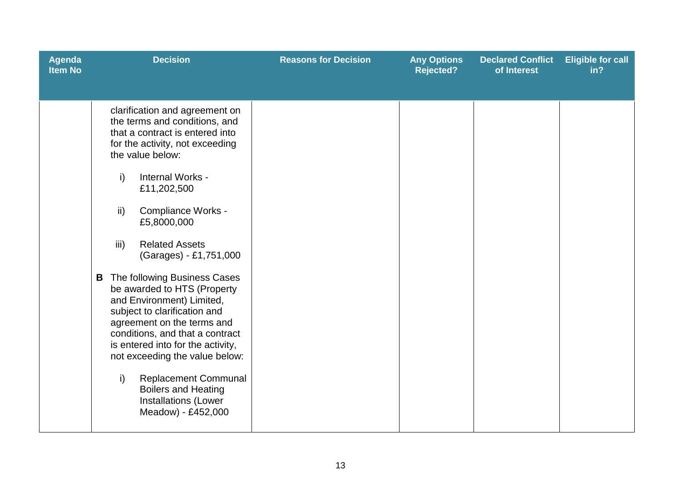| <b>Agenda</b><br><b>Item No</b> | <b>Decision</b>                                                                                                                                                                                                                                                                                                                                                                                                                                                                                                                                                                                                                                                                                               | <b>Reasons for Decision</b> | <b>Any Options</b><br><b>Rejected?</b> | <b>Declared Conflict</b><br>of Interest | <b>Eligible for call</b><br>in? |
|---------------------------------|---------------------------------------------------------------------------------------------------------------------------------------------------------------------------------------------------------------------------------------------------------------------------------------------------------------------------------------------------------------------------------------------------------------------------------------------------------------------------------------------------------------------------------------------------------------------------------------------------------------------------------------------------------------------------------------------------------------|-----------------------------|----------------------------------------|-----------------------------------------|---------------------------------|
|                                 | clarification and agreement on<br>the terms and conditions, and<br>that a contract is entered into<br>for the activity, not exceeding<br>the value below:<br>i)<br>Internal Works -<br>£11,202,500<br>Compliance Works -<br>ii)<br>£5,8000,000<br>iii)<br><b>Related Assets</b><br>(Garages) - £1,751,000<br>The following Business Cases<br>B<br>be awarded to HTS (Property<br>and Environment) Limited,<br>subject to clarification and<br>agreement on the terms and<br>conditions, and that a contract<br>is entered into for the activity,<br>not exceeding the value below:<br>$\mathsf{i}$<br><b>Replacement Communal</b><br><b>Boilers and Heating</b><br>Installations (Lower<br>Meadow) - £452,000 |                             |                                        |                                         |                                 |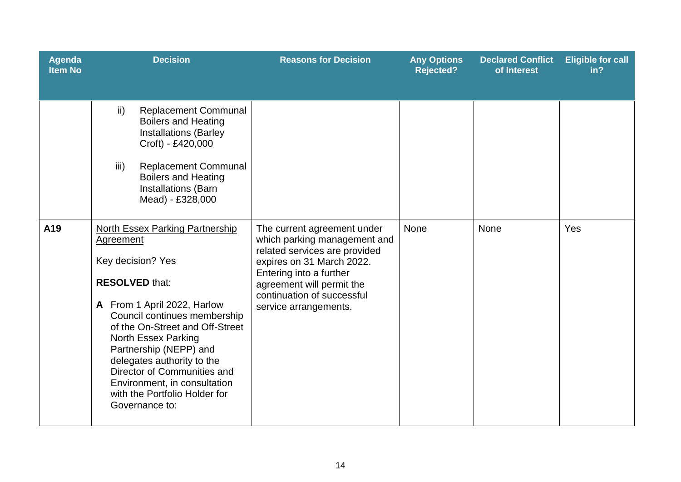| Agenda<br><b>Item No</b> | <b>Decision</b>                                                                                                                                                                                                                                                                                                                                                                                                    | <b>Reasons for Decision</b>                                                                                                                                                                                                              | <b>Any Options</b><br><b>Rejected?</b> | <b>Declared Conflict</b><br>of Interest | <b>Eligible for call</b><br>in? |
|--------------------------|--------------------------------------------------------------------------------------------------------------------------------------------------------------------------------------------------------------------------------------------------------------------------------------------------------------------------------------------------------------------------------------------------------------------|------------------------------------------------------------------------------------------------------------------------------------------------------------------------------------------------------------------------------------------|----------------------------------------|-----------------------------------------|---------------------------------|
|                          | <b>Replacement Communal</b><br>$\mathsf{ii}$<br><b>Boilers and Heating</b><br><b>Installations (Barley</b><br>Croft) - £420,000<br>iii)<br><b>Replacement Communal</b><br><b>Boilers and Heating</b><br>Installations (Barn<br>Mead) - £328,000                                                                                                                                                                    |                                                                                                                                                                                                                                          |                                        |                                         |                                 |
| A19                      | <b>North Essex Parking Partnership</b><br><b>Agreement</b><br>Key decision? Yes<br><b>RESOLVED that:</b><br>A From 1 April 2022, Harlow<br>Council continues membership<br>of the On-Street and Off-Street<br><b>North Essex Parking</b><br>Partnership (NEPP) and<br>delegates authority to the<br>Director of Communities and<br>Environment, in consultation<br>with the Portfolio Holder for<br>Governance to: | The current agreement under<br>which parking management and<br>related services are provided<br>expires on 31 March 2022.<br>Entering into a further<br>agreement will permit the<br>continuation of successful<br>service arrangements. | <b>None</b>                            | <b>None</b>                             | Yes                             |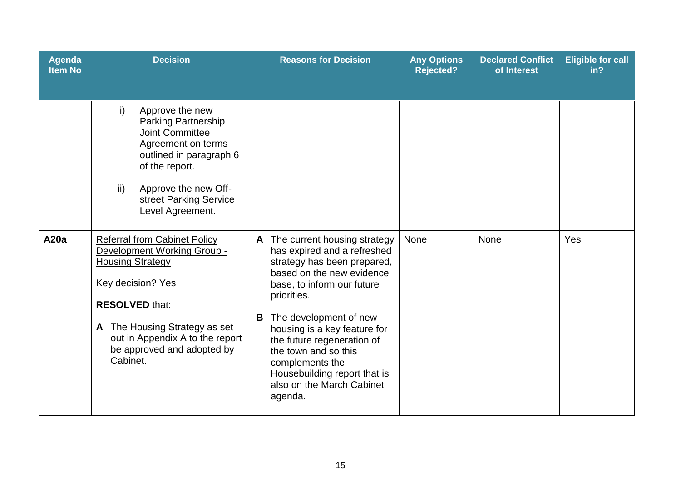| Agenda<br><b>Item No</b> | <b>Decision</b>                                                                                                                                                                                                                                           | <b>Reasons for Decision</b>                                                                                                                                                                                                                                                                                                                                                               | <b>Any Options</b><br><b>Rejected?</b> | <b>Declared Conflict</b><br>of Interest | <b>Eligible for call</b><br>in? |
|--------------------------|-----------------------------------------------------------------------------------------------------------------------------------------------------------------------------------------------------------------------------------------------------------|-------------------------------------------------------------------------------------------------------------------------------------------------------------------------------------------------------------------------------------------------------------------------------------------------------------------------------------------------------------------------------------------|----------------------------------------|-----------------------------------------|---------------------------------|
|                          | i)<br>Approve the new<br><b>Parking Partnership</b><br><b>Joint Committee</b><br>Agreement on terms<br>outlined in paragraph 6<br>of the report.<br>Approve the new Off-<br>ii)<br>street Parking Service<br>Level Agreement.                             |                                                                                                                                                                                                                                                                                                                                                                                           |                                        |                                         |                                 |
| <b>A20a</b>              | <b>Referral from Cabinet Policy</b><br>Development Working Group -<br><b>Housing Strategy</b><br>Key decision? Yes<br><b>RESOLVED that:</b><br>A The Housing Strategy as set<br>out in Appendix A to the report<br>be approved and adopted by<br>Cabinet. | The current housing strategy<br>A<br>has expired and a refreshed<br>strategy has been prepared,<br>based on the new evidence<br>base, to inform our future<br>priorities.<br>The development of new<br>В<br>housing is a key feature for<br>the future regeneration of<br>the town and so this<br>complements the<br>Housebuilding report that is<br>also on the March Cabinet<br>agenda. | None                                   | None                                    | Yes                             |